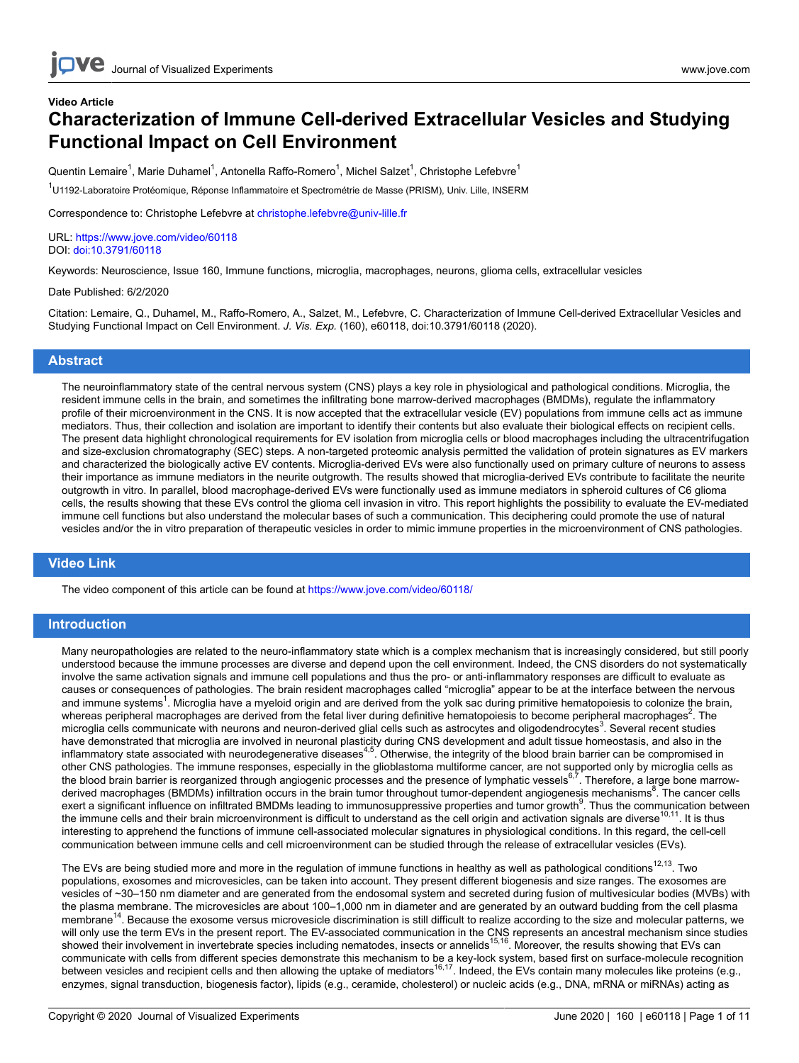# **Characterization of Immune Cell-derived Extracellular Vesicles and Studying Functional Impact on Cell Environment**

Quentin Lemaire<sup>1</sup>, Marie Duhamel<sup>1</sup>, Antonella Raffo-Romero<sup>1</sup>, Michel Salzet<sup>1</sup>, Christophe Lefebvre<sup>1</sup>

<sup>1</sup>U1192-Laboratoire Protéomique, Réponse Inflammatoire et Spectrométrie de Masse (PRISM), Univ. Lille, INSERM

Correspondence to: Christophe Lefebvre at [christophe.lefebvre@univ-lille.fr](mailto:christophe.lefebvre@univ-lille.fr)

URL:<https://www.jove.com/video/60118> DOI: [doi:10.3791/60118](http://dx.doi.org/10.3791/60118)

Keywords: Neuroscience, Issue 160, Immune functions, microglia, macrophages, neurons, glioma cells, extracellular vesicles

#### Date Published: 6/2/2020

Citation: Lemaire, Q., Duhamel, M., Raffo-Romero, A., Salzet, M., Lefebvre, C. Characterization of Immune Cell-derived Extracellular Vesicles and Studying Functional Impact on Cell Environment. *J. Vis. Exp.* (160), e60118, doi:10.3791/60118 (2020).

#### **Abstract**

**Video Article**

The neuroinflammatory state of the central nervous system (CNS) plays a key role in physiological and pathological conditions. Microglia, the resident immune cells in the brain, and sometimes the infiltrating bone marrow-derived macrophages (BMDMs), regulate the inflammatory profile of their microenvironment in the CNS. It is now accepted that the extracellular vesicle (EV) populations from immune cells act as immune mediators. Thus, their collection and isolation are important to identify their contents but also evaluate their biological effects on recipient cells. The present data highlight chronological requirements for EV isolation from microglia cells or blood macrophages including the ultracentrifugation and size-exclusion chromatography (SEC) steps. A non-targeted proteomic analysis permitted the validation of protein signatures as EV markers and characterized the biologically active EV contents. Microglia-derived EVs were also functionally used on primary culture of neurons to assess their importance as immune mediators in the neurite outgrowth. The results showed that microglia-derived EVs contribute to facilitate the neurite outgrowth in vitro. In parallel, blood macrophage-derived EVs were functionally used as immune mediators in spheroid cultures of C6 glioma cells, the results showing that these EVs control the glioma cell invasion in vitro. This report highlights the possibility to evaluate the EV-mediated immune cell functions but also understand the molecular bases of such a communication. This deciphering could promote the use of natural vesicles and/or the in vitro preparation of therapeutic vesicles in order to mimic immune properties in the microenvironment of CNS pathologies.

#### **Video Link**

The video component of this article can be found at <https://www.jove.com/video/60118/>

#### **Introduction**

Many neuropathologies are related to the neuro-inflammatory state which is a complex mechanism that is increasingly considered, but still poorly understood because the immune processes are diverse and depend upon the cell environment. Indeed, the CNS disorders do not systematically involve the same activation signals and immune cell populations and thus the pro- or anti-inflammatory responses are difficult to evaluate as causes or consequences of pathologies. The brain resident macrophages called "microglia" appear to be at the interface between the nervous and immune systems<sup>1</sup>. Microglia have a myeloid origin and are derived from the yolk sac during primitive hematopoiesis to colonize the brain, whereas peripheral macrophages are derived from the fetal liver during definitive hematopoiesis to become peripheral macrophages<sup>2</sup>. The microglia cells communicate with neurons and neuron-derived glial cells such as astrocytes and oligodendrocytes<sup>3</sup>. Several recent studies have demonstrated that microglia are involved in neuronal plasticity during CNS development and adult tissue homeostasis, and also in the inflammatory state associated with neurodegenerative diseases<sup>4,5</sup>. Otherwise, the integrity of the blood brain barrier can be compromised in other CNS pathologies. The immune responses, especially in the glioblastoma multiforme cancer, are not supported only by microglia cells as<br>the blood brain barrier is reorganized through angiogenic processes and the presen derived macrophages (BMDMs) infiltration occurs in the brain tumor throughout tumor-dependent angiogenesis mechanisms<sup>8</sup>. The cancer cells exert a significant influence on infiltrated BMDMs leading to immunosuppressive properties and tumor growth<sup>9</sup>. Thus the communication between the immune cells and their brain microenvironment is difficult to understand as the cell origin and activation signals are diverse<sup>10,11</sup>. It is thus interesting to apprehend the functions of immune cell-associated molecular signatures in physiological conditions. In this regard, the cell-cell communication between immune cells and cell microenvironment can be studied through the release of extracellular vesicles (EVs).

The EVs are being studied more and more in the regulation of immune functions in healthy as well as pathological conditions<sup>12,13</sup>. Two populations, exosomes and microvesicles, can be taken into account. They present different biogenesis and size ranges. The exosomes are vesicles of ~30–150 nm diameter and are generated from the endosomal system and secreted during fusion of multivesicular bodies (MVBs) with the plasma membrane. The microvesicles are about 100–1,000 nm in diameter and are generated by an outward budding from the cell plasma membrane<sup>14</sup>. Because the exosome versus microvesicle discrimination is still difficult to realize according to the size and molecular patterns, we will only use the term EVs in the present report. The EV-associated communication in the CNS represents an ancestral mechanism since studies<br>showed their involvement in invertebrate species including nematodes, insects or communicate with cells from different species demonstrate this mechanism to be a key-lock system, based first on surface-molecule recognition<br>between vesicles and recipient cells and then allowing the uptake of mediators<sup>1</sup> enzymes, signal transduction, biogenesis factor), lipids (e.g., ceramide, cholesterol) or nucleic acids (e.g., DNA, mRNA or miRNAs) acting as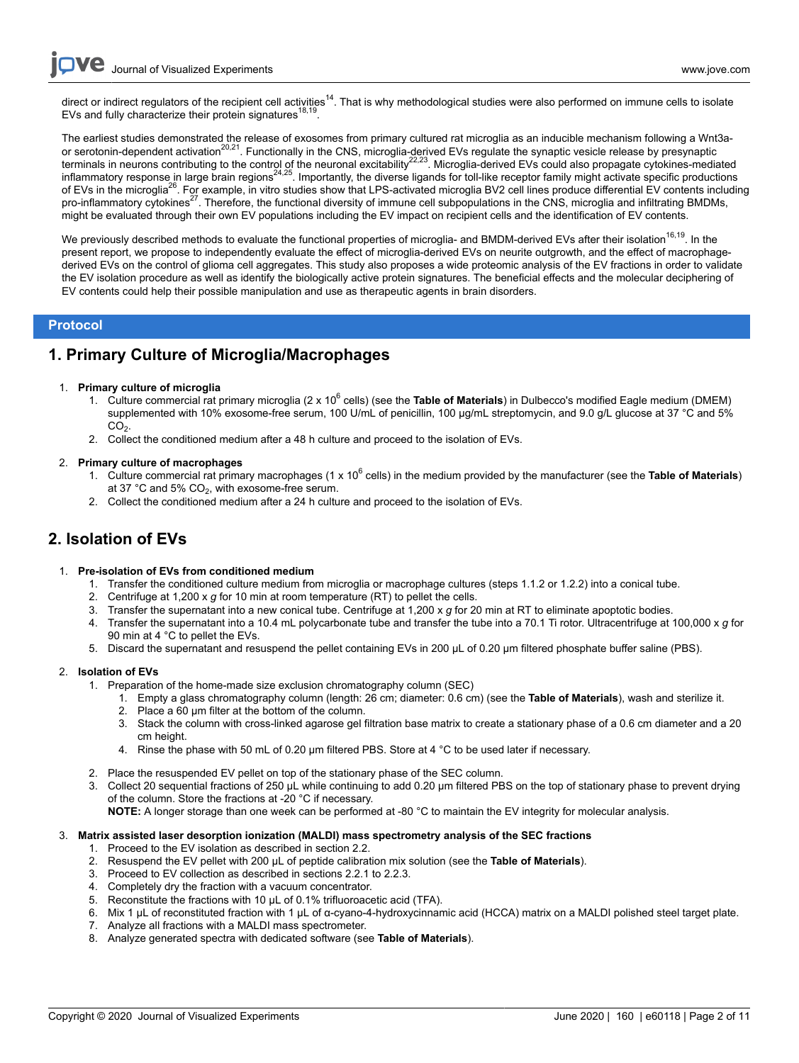**Ove** Journal of Visualized [Experiments](https://www.jove.com) [www.jove.com](https://www.jove.com)

direct or indirect regulators of the recipient cell activities<sup>14</sup>. That is why methodological studies were also performed on immune cells to isolate EVs and fully characterize their protein signatures<sup>18,</sup> .

The earliest studies demonstrated the release of exosomes from primary cultured rat microglia as an inducible mechanism following a Wnt3aor serotonin-dependent activation<sup>20,21</sup>. Functionally in the CNS, microglia-derived EVs regulate the synaptic vesicle release by presynaptic terminals in neurons contributing to the control of the neuronal excitability<sup>22,23</sup>. Microglia-derived EVs could also propagate cytokines-mediated inflammatory response in large brain regions<sup>24,25</sup>. Importantly, the diverse ligands for toll-like receptor family might activate specific productions of EVs in the microglia<sup>26</sup>. For example, in vitro studies show that LPS-activated microglia BV2 cell lines produce differential EV contents including pro-inflammatory cytokines<sup>27</sup>. Therefore, the functional diversity of immune cell subpopulations in the CNS, microglia and infiltrating BMDMs, might be evaluated through their own EV populations including the EV impact on recipient cells and the identification of EV contents.

We previously described methods to evaluate the functional properties of microglia- and BMDM-derived EVs after their isolation<sup>16,19</sup>. In the present report, we propose to independently evaluate the effect of microglia-derived EVs on neurite outgrowth, and the effect of macrophagederived EVs on the control of glioma cell aggregates. This study also proposes a wide proteomic analysis of the EV fractions in order to validate the EV isolation procedure as well as identify the biologically active protein signatures. The beneficial effects and the molecular deciphering of EV contents could help their possible manipulation and use as therapeutic agents in brain disorders.

### **Protocol**

## **1. Primary Culture of Microglia/Macrophages**

#### 1. **Primary culture of microglia**

- 1. Culture commercial rat primary microglia (2 x 10<sup>6</sup> cells) (see the **Table of Materials**) in Dulbecco's modified Eagle medium (DMEM) supplemented with 10% exosome-free serum, 100 U/mL of penicillin, 100 µg/mL streptomycin, and 9.0 g/L glucose at 37 °C and 5%  $CO<sub>2</sub>$ .
- 2. Collect the conditioned medium after a 48 h culture and proceed to the isolation of EVs.

#### 2. **Primary culture of macrophages**

- 1. Culture commercial rat primary macrophages (1 x 10<sup>6</sup> cells) in the medium provided by the manufacturer (see the **Table of Materials**) at 37 °C and 5%  $CO<sub>2</sub>$ , with exosome-free serum.
- 2. Collect the conditioned medium after a 24 h culture and proceed to the isolation of EVs.

## **2. Isolation of EVs**

#### 1. **Pre-isolation of EVs from conditioned medium**

- 1. Transfer the conditioned culture medium from microglia or macrophage cultures (steps 1.1.2 or 1.2.2) into a conical tube.
- 2. Centrifuge at 1,200 x *g* for 10 min at room temperature (RT) to pellet the cells.
- 3. Transfer the supernatant into a new conical tube. Centrifuge at 1,200 x *g* for 20 min at RT to eliminate apoptotic bodies.
- 4. Transfer the supernatant into a 10.4 mL polycarbonate tube and transfer the tube into a 70.1 Ti rotor. Ultracentrifuge at 100,000 x *g* for 90 min at 4 °C to pellet the EVs.
- 5. Discard the supernatant and resuspend the pellet containing EVs in 200 µL of 0.20 µm filtered phosphate buffer saline (PBS).

#### 2. **Isolation of EVs**

- 1. Preparation of the home-made size exclusion chromatography column (SEC)
	- 1. Empty a glass chromatography column (length: 26 cm; diameter: 0.6 cm) (see the **Table of Materials**), wash and sterilize it.
	- 2. Place a 60 µm filter at the bottom of the column.
	- 3. Stack the column with cross-linked agarose gel filtration base matrix to create a stationary phase of a 0.6 cm diameter and a 20 cm height.
	- 4. Rinse the phase with 50 mL of 0.20 µm filtered PBS. Store at 4 °C to be used later if necessary.
- 2. Place the resuspended EV pellet on top of the stationary phase of the SEC column.
- 3. Collect 20 sequential fractions of 250 µL while continuing to add 0.20 µm filtered PBS on the top of stationary phase to prevent drying of the column. Store the fractions at -20 °C if necessary.
	- **NOTE:** A longer storage than one week can be performed at -80 °C to maintain the EV integrity for molecular analysis.

#### 3. **Matrix assisted laser desorption ionization (MALDI) mass spectrometry analysis of the SEC fractions**

- 1. Proceed to the EV isolation as described in section 2.2.
- 2. Resuspend the EV pellet with 200 µL of peptide calibration mix solution (see the **Table of Materials**).
- 3. Proceed to EV collection as described in sections 2.2.1 to 2.2.3.
- 4. Completely dry the fraction with a vacuum concentrator.
- 5. Reconstitute the fractions with 10 µL of 0.1% trifluoroacetic acid (TFA).
- 6. Mix 1 µL of reconstituted fraction with 1 µL of α-cyano-4-hydroxycinnamic acid (HCCA) matrix on a MALDI polished steel target plate.
- 7. Analyze all fractions with a MALDI mass spectrometer.
- 8. Analyze generated spectra with dedicated software (see **Table of Materials**).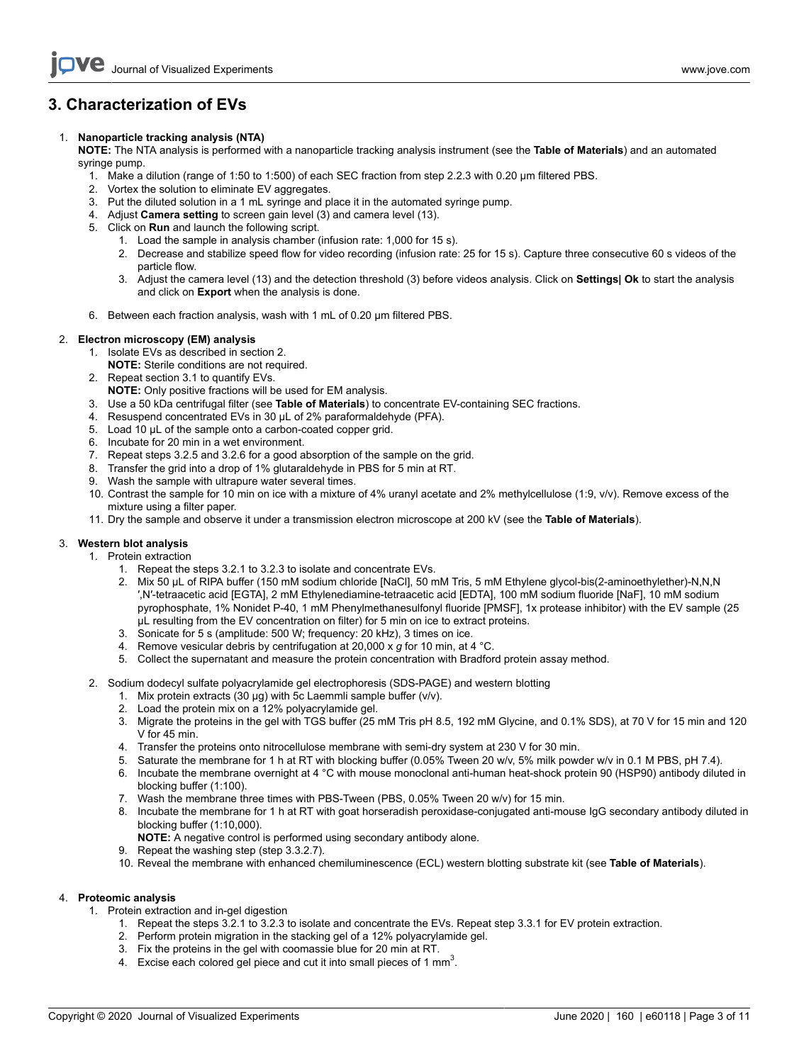## **3. Characterization of EVs**

#### 1. **Nanoparticle tracking analysis (NTA)**

**NOTE:** The NTA analysis is performed with a nanoparticle tracking analysis instrument (see the **Table of Materials**) and an automated syringe pump.

- 1. Make a dilution (range of 1:50 to 1:500) of each SEC fraction from step 2.2.3 with 0.20 µm filtered PBS.
- 2. Vortex the solution to eliminate EV aggregates.
- 3. Put the diluted solution in a 1 mL syringe and place it in the automated syringe pump.
- 4. Adjust **Camera setting** to screen gain level (3) and camera level (13).
- 5. Click on **Run** and launch the following script.
	- 1. Load the sample in analysis chamber (infusion rate: 1,000 for 15 s).
	- 2. Decrease and stabilize speed flow for video recording (infusion rate: 25 for 15 s). Capture three consecutive 60 s videos of the particle flow.
	- 3. Adjust the camera level (13) and the detection threshold (3) before videos analysis. Click on **Settings| Ok** to start the analysis and click on **Export** when the analysis is done.
- 6. Between each fraction analysis, wash with 1 mL of 0.20 µm filtered PBS.

#### 2. **Electron microscopy (EM) analysis**

- 1. Isolate EVs as described in section 2.
	- **NOTE:** Sterile conditions are not required.
- 2. Repeat section 3.1 to quantify EVs.
	- **NOTE:** Only positive fractions will be used for EM analysis.
- 3. Use a 50 kDa centrifugal filter (see **Table of Materials**) to concentrate EV-containing SEC fractions.
- 4. Resuspend concentrated EVs in 30 µL of 2% paraformaldehyde (PFA).
- 5. Load 10 µL of the sample onto a carbon-coated copper grid.
- 6. Incubate for 20 min in a wet environment.
- 7. Repeat steps 3.2.5 and 3.2.6 for a good absorption of the sample on the grid.
- 8. Transfer the grid into a drop of 1% glutaraldehyde in PBS for 5 min at RT.
- Wash the sample with ultrapure water several times.
- 10. Contrast the sample for 10 min on ice with a mixture of 4% uranyl acetate and 2% methylcellulose (1:9, v/v). Remove excess of the mixture using a filter paper.
- 11. Dry the sample and observe it under a transmission electron microscope at 200 kV (see the **Table of Materials**).

#### 3. **Western blot analysis**

- 1. Protein extraction
	- 1. Repeat the steps 3.2.1 to 3.2.3 to isolate and concentrate EVs.
	- 2. Mix 50 µL of RIPA buffer (150 mM sodium chloride [NaCl], 50 mM Tris, 5 mM Ethylene glycol-bis(2-aminoethylether)-N,N,N ′,N′-tetraacetic acid [EGTA], 2 mM Ethylenediamine-tetraacetic acid [EDTA], 100 mM sodium fluoride [NaF], 10 mM sodium pyrophosphate, 1% Nonidet P-40, 1 mM Phenylmethanesulfonyl fluoride [PMSF], 1x protease inhibitor) with the EV sample (25 µL resulting from the EV concentration on filter) for 5 min on ice to extract proteins.
	- 3. Sonicate for 5 s (amplitude: 500 W; frequency: 20 kHz), 3 times on ice.
	- 4. Remove vesicular debris by centrifugation at 20,000 x *g* for 10 min, at 4 °C.
	- 5. Collect the supernatant and measure the protein concentration with Bradford protein assay method.
- 2. Sodium dodecyl sulfate polyacrylamide gel electrophoresis (SDS-PAGE) and western blotting
	- 1. Mix protein extracts (30 µg) with 5c Laemmli sample buffer (v/v).
	- 2. Load the protein mix on a 12% polyacrylamide gel.
	- 3. Migrate the proteins in the gel with TGS buffer (25 mM Tris pH 8.5, 192 mM Glycine, and 0.1% SDS), at 70 V for 15 min and 120 V for 45 min.
	- 4. Transfer the proteins onto nitrocellulose membrane with semi-dry system at 230 V for 30 min.
	- 5. Saturate the membrane for 1 h at RT with blocking buffer (0.05% Tween 20 w/v, 5% milk powder w/v in 0.1 M PBS, pH 7.4).
	- 6. Incubate the membrane overnight at 4 °C with mouse monoclonal anti-human heat-shock protein 90 (HSP90) antibody diluted in blocking buffer (1:100).
	- 7. Wash the membrane three times with PBS-Tween (PBS, 0.05% Tween 20 w/v) for 15 min.
	- 8. Incubate the membrane for 1 h at RT with goat horseradish peroxidase-conjugated anti-mouse IgG secondary antibody diluted in blocking buffer (1:10,000).

**NOTE:** A negative control is performed using secondary antibody alone.

- 9. Repeat the washing step (step 3.3.2.7).
- 10. Reveal the membrane with enhanced chemiluminescence (ECL) western blotting substrate kit (see **Table of Materials**).

#### 4. **Proteomic analysis**

- 1. Protein extraction and in-gel digestion
	- 1. Repeat the steps 3.2.1 to 3.2.3 to isolate and concentrate the EVs. Repeat step 3.3.1 for EV protein extraction.
	- 2. Perform protein migration in the stacking gel of a 12% polyacrylamide gel.
	- 3. Fix the proteins in the gel with coomassie blue for 20 min at RT.
	- 4. Excise each colored gel piece and cut it into small pieces of 1 mm<sup>3</sup>.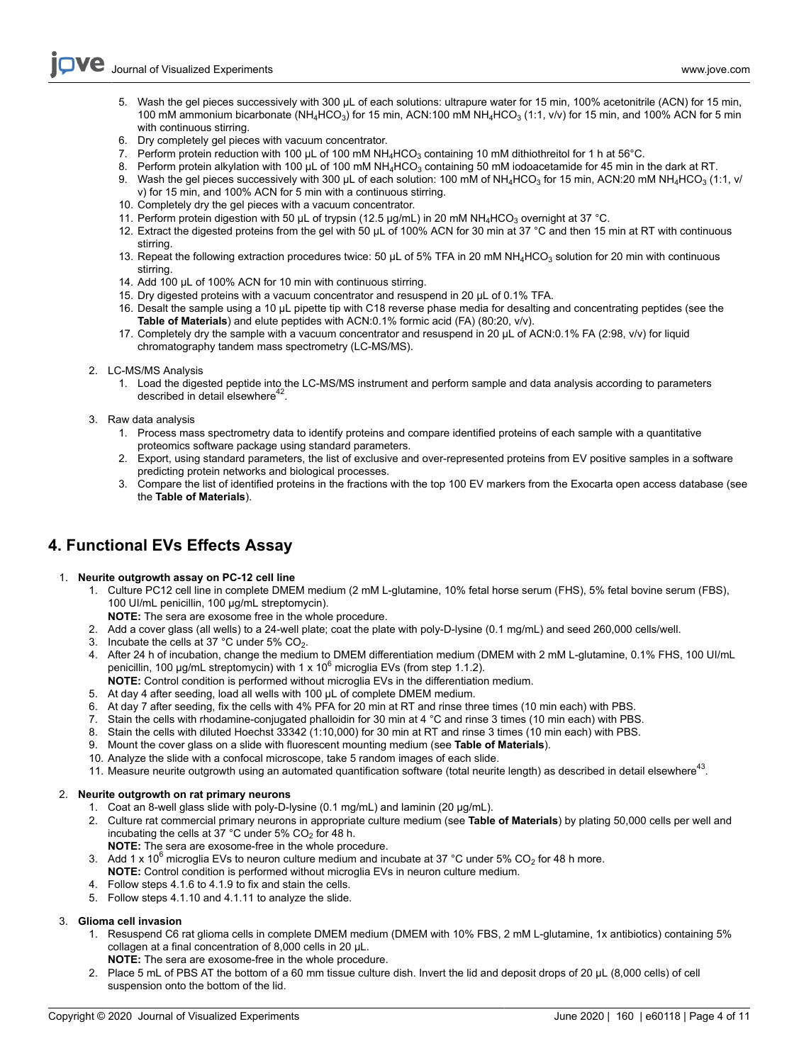**JOVE** Journal of Visualized [Experiments](https://www.jove.com) [www.jove.com](https://www.jove.com)

- 5. Wash the gel pieces successively with 300 µL of each solutions: ultrapure water for 15 min, 100% acetonitrile (ACN) for 15 min, 100 mM ammonium bicarbonate (NH<sub>4</sub>HCO<sub>3</sub>) for 15 min, ACN:100 mM NH<sub>4</sub>HCO<sub>3</sub> (1:1, v/v) for 15 min, and 100% ACN for 5 min with continuous stirring.
- 6. Dry completely gel pieces with vacuum concentrator.
- 7. Perform protein reduction with 100 µL of 100 mM NH<sub>4</sub>HCO<sub>3</sub> containing 10 mM dithiothreitol for 1 h at 56°C.
- 8. Perform protein alkylation with 100  $\mu$ L of 100 mM NH<sub>4</sub>HCO<sub>3</sub> containing 50 mM iodoacetamide for 45 min in the dark at RT.
- 9. Wash the gel pieces successively with 300 µL of each solution: 100 mM of NH<sub>4</sub>HCO<sub>3</sub> for 15 min, ACN:20 mM NH<sub>4</sub>HCO<sub>3</sub> (1:1, v/ v) for 15 min, and 100% ACN for 5 min with a continuous stirring.
- 10. Completely dry the gel pieces with a vacuum concentrator.
- 11. Perform protein digestion with 50 µL of trypsin (12.5 µg/mL) in 20 mM NH<sub>4</sub>HCO<sub>3</sub> overnight at 37 °C.
- 12. Extract the digested proteins from the gel with 50 µL of 100% ACN for 30 min at 37 °C and then 15 min at RT with continuous stirring.
- 13. Repeat the following extraction procedures twice: 50  $\mu$ L of 5% TFA in 20 mM NH<sub>4</sub>HCO<sub>3</sub> solution for 20 min with continuous stirring.
- 14. Add 100 µL of 100% ACN for 10 min with continuous stirring.
- 15. Dry digested proteins with a vacuum concentrator and resuspend in 20 µL of 0.1% TFA.
- 16. Desalt the sample using a 10 µL pipette tip with C18 reverse phase media for desalting and concentrating peptides (see the **Table of Materials**) and elute peptides with ACN:0.1% formic acid (FA) (80:20, v/v).
- 17. Completely dry the sample with a vacuum concentrator and resuspend in 20 µL of ACN:0.1% FA (2:98, v/v) for liquid chromatography tandem mass spectrometry (LC-MS/MS).
- 2. LC-MS/MS Analysis
	- 1. Load the digested peptide into the LC-MS/MS instrument and perform sample and data analysis according to parameters described in detail elsewhere<sup>42</sup> .
- 3. Raw data analysis
	- 1. Process mass spectrometry data to identify proteins and compare identified proteins of each sample with a quantitative proteomics software package using standard parameters.
	- 2. Export, using standard parameters, the list of exclusive and over-represented proteins from EV positive samples in a software predicting protein networks and biological processes.
	- 3. Compare the list of identified proteins in the fractions with the top 100 EV markers from the Exocarta open access database (see the **Table of Materials**).

## **4. Functional EVs Effects Assay**

#### 1. **Neurite outgrowth assay on PC-12 cell line**

- 1. Culture PC12 cell line in complete DMEM medium (2 mM L-glutamine, 10% fetal horse serum (FHS), 5% fetal bovine serum (FBS), 100 UI/mL penicillin, 100 µg/mL streptomycin).
- **NOTE:** The sera are exosome free in the whole procedure.
- 2. Add a cover glass (all wells) to a 24-well plate; coat the plate with poly-D-lysine (0.1 mg/mL) and seed 260,000 cells/well.
- 3. Incubate the cells at 37 °C under 5% CO2.
- 4. After 24 h of incubation, change the medium to DMEM differentiation medium (DMEM with 2 mM L-glutamine, 0.1% FHS, 100 UI/mL penicillin, 100 µg/mL streptomycin) with 1 x 10<sup>6</sup> microglia EVs (from step 1.1.2).
- **NOTE:** Control condition is performed without microglia EVs in the differentiation medium.
- 5. At day 4 after seeding, load all wells with 100 µL of complete DMEM medium.
- 6. At day 7 after seeding, fix the cells with 4% PFA for 20 min at RT and rinse three times (10 min each) with PBS.
- 7. Stain the cells with rhodamine-conjugated phalloidin for 30 min at 4 °C and rinse 3 times (10 min each) with PBS.
- 8. Stain the cells with diluted Hoechst 33342 (1:10,000) for 30 min at RT and rinse 3 times (10 min each) with PBS.
- 9. Mount the cover glass on a slide with fluorescent mounting medium (see **Table of Materials**).
- 10. Analyze the slide with a confocal microscope, take 5 random images of each slide.
- 11. Measure neurite outgrowth using an automated quantification software (total neurite length) as described in detail elsewhere<sup>43</sup>.

### 2. **Neurite outgrowth on rat primary neurons**

- 1. Coat an 8-well glass slide with poly-D-lysine (0.1 mg/mL) and laminin (20 µg/mL).
- 2. Culture rat commercial primary neurons in appropriate culture medium (see **Table of Materials**) by plating 50,000 cells per well and incubating the cells at 37 °C under 5%  $CO<sub>2</sub>$  for 48 h.
	- **NOTE:** The sera are exosome-free in the whole procedure.
- 3. Add 1 x 10<sup>6</sup> microglia EVs to neuron culture medium and incubate at 37 °C under 5% CO<sub>2</sub> for 48 h more. **NOTE:** Control condition is performed without microglia EVs in neuron culture medium.
- 4. Follow steps 4.1.6 to 4.1.9 to fix and stain the cells.
- 5. Follow steps 4.1.10 and 4.1.11 to analyze the slide.

### 3. **Glioma cell invasion**

1. Resuspend C6 rat glioma cells in complete DMEM medium (DMEM with 10% FBS, 2 mM L-glutamine, 1x antibiotics) containing 5% collagen at a final concentration of 8,000 cells in 20 µL.

**NOTE:** The sera are exosome-free in the whole procedure.

2. Place 5 mL of PBS AT the bottom of a 60 mm tissue culture dish. Invert the lid and deposit drops of 20 µL (8,000 cells) of cell suspension onto the bottom of the lid.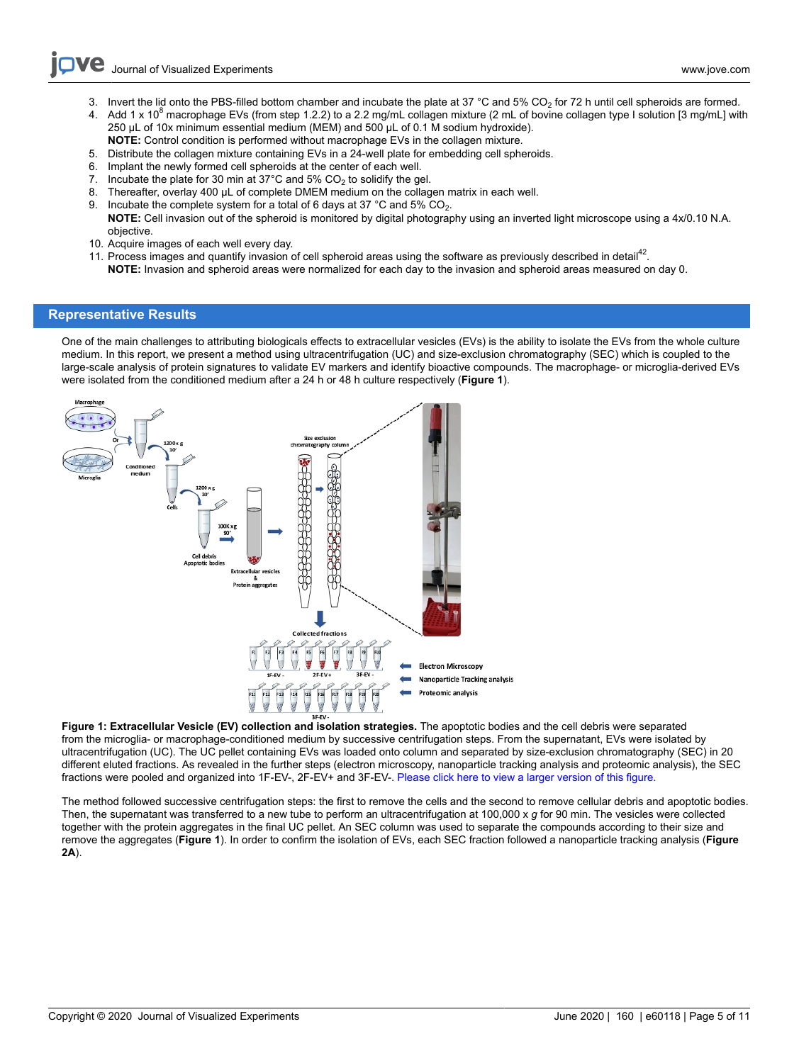- 3. Invert the lid onto the PBS-filled bottom chamber and incubate the plate at 37 °C and 5% CO<sub>2</sub> for 72 h until cell spheroids are formed.
- 4. Add 1 x 10<sup>8</sup> macrophage EVs (from step 1.2.2) to a 2.2 mg/mL collagen mixture (2 mL of bovine collagen type I solution [3 mg/mL] with 250 µL of 10x minimum essential medium (MEM) and 500 µL of 0.1 M sodium hydroxide). **NOTE:** Control condition is performed without macrophage EVs in the collagen mixture.
- 5. Distribute the collagen mixture containing EVs in a 24-well plate for embedding cell spheroids.
- 6. Implant the newly formed cell spheroids at the center of each well.
- 7. Incubate the plate for 30 min at  $37^{\circ}$ C and  $5\%$  CO<sub>2</sub> to solidify the gel.
- 8. Thereafter, overlay 400 µL of complete DMEM medium on the collagen matrix in each well.
- Incubate the complete system for a total of 6 days at 37  $^{\circ}$ C and 5% CO<sub>2</sub>.
- **NOTE:** Cell invasion out of the spheroid is monitored by digital photography using an inverted light microscope using a 4x/0.10 N.A. objective.
- 10. Acquire images of each well every day.
- 11. Process images and quantify invasion of cell spheroid areas using the software as previously described in detail<sup>42</sup>. **NOTE:** Invasion and spheroid areas were normalized for each day to the invasion and spheroid areas measured on day 0.

#### **Representative Results**

One of the main challenges to attributing biologicals effects to extracellular vesicles (EVs) is the ability to isolate the EVs from the whole culture medium. In this report, we present a method using ultracentrifugation (UC) and size-exclusion chromatography (SEC) which is coupled to the large-scale analysis of protein signatures to validate EV markers and identify bioactive compounds. The macrophage- or microglia-derived EVs were isolated from the conditioned medium after a 24 h or 48 h culture respectively (**Figure 1**).



**Figure 1: Extracellular Vesicle (EV) collection and isolation strategies.** The apoptotic bodies and the cell debris were separated from the microglia- or macrophage-conditioned medium by successive centrifugation steps. From the supernatant, EVs were isolated by ultracentrifugation (UC). The UC pellet containing EVs was loaded onto column and separated by size-exclusion chromatography (SEC) in 20 different eluted fractions. As revealed in the further steps (electron microscopy, nanoparticle tracking analysis and proteomic analysis), the SEC fractions were pooled and organized into 1F-EV-, 2F-EV+ and 3F-EV-. [Please click here to view a larger version of this figure.](https://www.jove.com/files/ftp_upload/60118/60118fig01large.jpg)

The method followed successive centrifugation steps: the first to remove the cells and the second to remove cellular debris and apoptotic bodies. Then, the supernatant was transferred to a new tube to perform an ultracentrifugation at 100,000 x *g* for 90 min. The vesicles were collected together with the protein aggregates in the final UC pellet. An SEC column was used to separate the compounds according to their size and remove the aggregates (**Figure 1**). In order to confirm the isolation of EVs, each SEC fraction followed a nanoparticle tracking analysis (**Figure 2A**).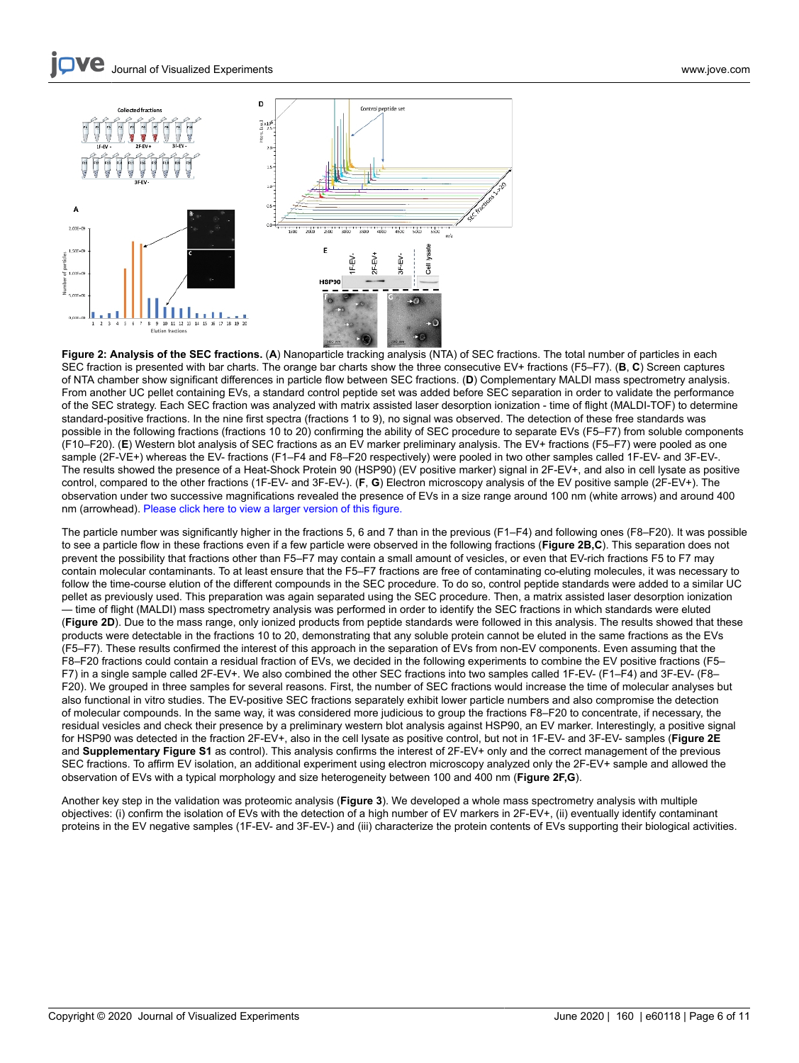

**Figure 2: Analysis of the SEC fractions.** (**A**) Nanoparticle tracking analysis (NTA) of SEC fractions. The total number of particles in each SEC fraction is presented with bar charts. The orange bar charts show the three consecutive EV+ fractions (F5–F7). (**B**, **C**) Screen captures of NTA chamber show significant differences in particle flow between SEC fractions. (**D**) Complementary MALDI mass spectrometry analysis. From another UC pellet containing EVs, a standard control peptide set was added before SEC separation in order to validate the performance of the SEC strategy. Each SEC fraction was analyzed with matrix assisted laser desorption ionization - time of flight (MALDI-TOF) to determine standard-positive fractions. In the nine first spectra (fractions 1 to 9), no signal was observed. The detection of these free standards was possible in the following fractions (fractions 10 to 20) confirming the ability of SEC procedure to separate EVs (F5–F7) from soluble components (F10–F20). (**E**) Western blot analysis of SEC fractions as an EV marker preliminary analysis. The EV+ fractions (F5–F7) were pooled as one sample (2F-VE+) whereas the EV- fractions (F1–F4 and F8–F20 respectively) were pooled in two other samples called 1F-EV- and 3F-EV-. The results showed the presence of a Heat-Shock Protein 90 (HSP90) (EV positive marker) signal in 2F-EV+, and also in cell lysate as positive control, compared to the other fractions (1F-EV- and 3F-EV-). (**F**, **G**) Electron microscopy analysis of the EV positive sample (2F-EV+). The observation under two successive magnifications revealed the presence of EVs in a size range around 100 nm (white arrows) and around 400 nm (arrowhead). [Please click here to view a larger version of this figure.](https://www.jove.com/files/ftp_upload/60118/60118fig02large.jpg)

The particle number was significantly higher in the fractions 5, 6 and 7 than in the previous (F1–F4) and following ones (F8–F20). It was possible to see a particle flow in these fractions even if a few particle were observed in the following fractions (**Figure 2B,C**). This separation does not prevent the possibility that fractions other than F5–F7 may contain a small amount of vesicles, or even that EV-rich fractions F5 to F7 may contain molecular contaminants. To at least ensure that the F5–F7 fractions are free of contaminating co-eluting molecules, it was necessary to follow the time-course elution of the different compounds in the SEC procedure. To do so, control peptide standards were added to a similar UC pellet as previously used. This preparation was again separated using the SEC procedure. Then, a matrix assisted laser desorption ionization — time of flight (MALDI) mass spectrometry analysis was performed in order to identify the SEC fractions in which standards were eluted (**Figure 2D**). Due to the mass range, only ionized products from peptide standards were followed in this analysis. The results showed that these products were detectable in the fractions 10 to 20, demonstrating that any soluble protein cannot be eluted in the same fractions as the EVs (F5–F7). These results confirmed the interest of this approach in the separation of EVs from non-EV components. Even assuming that the F8–F20 fractions could contain a residual fraction of EVs, we decided in the following experiments to combine the EV positive fractions (F5– F7) in a single sample called 2F-EV+. We also combined the other SEC fractions into two samples called 1F-EV- (F1–F4) and 3F-EV- (F8– F20). We grouped in three samples for several reasons. First, the number of SEC fractions would increase the time of molecular analyses but also functional in vitro studies. The EV-positive SEC fractions separately exhibit lower particle numbers and also compromise the detection of molecular compounds. In the same way, it was considered more judicious to group the fractions F8–F20 to concentrate, if necessary, the residual vesicles and check their presence by a preliminary western blot analysis against HSP90, an EV marker. Interestingly, a positive signal for HSP90 was detected in the fraction 2F-EV+, also in the cell lysate as positive control, but not in 1F-EV- and 3F-EV- samples (**Figure 2E** and **Supplementary Figure S1** as control). This analysis confirms the interest of 2F-EV+ only and the correct management of the previous SEC fractions. To affirm EV isolation, an additional experiment using electron microscopy analyzed only the 2F-EV+ sample and allowed the observation of EVs with a typical morphology and size heterogeneity between 100 and 400 nm (**Figure 2F,G**).

Another key step in the validation was proteomic analysis (**Figure 3**). We developed a whole mass spectrometry analysis with multiple objectives: (i) confirm the isolation of EVs with the detection of a high number of EV markers in 2F-EV+, (ii) eventually identify contaminant proteins in the EV negative samples (1F-EV- and 3F-EV-) and (iii) characterize the protein contents of EVs supporting their biological activities.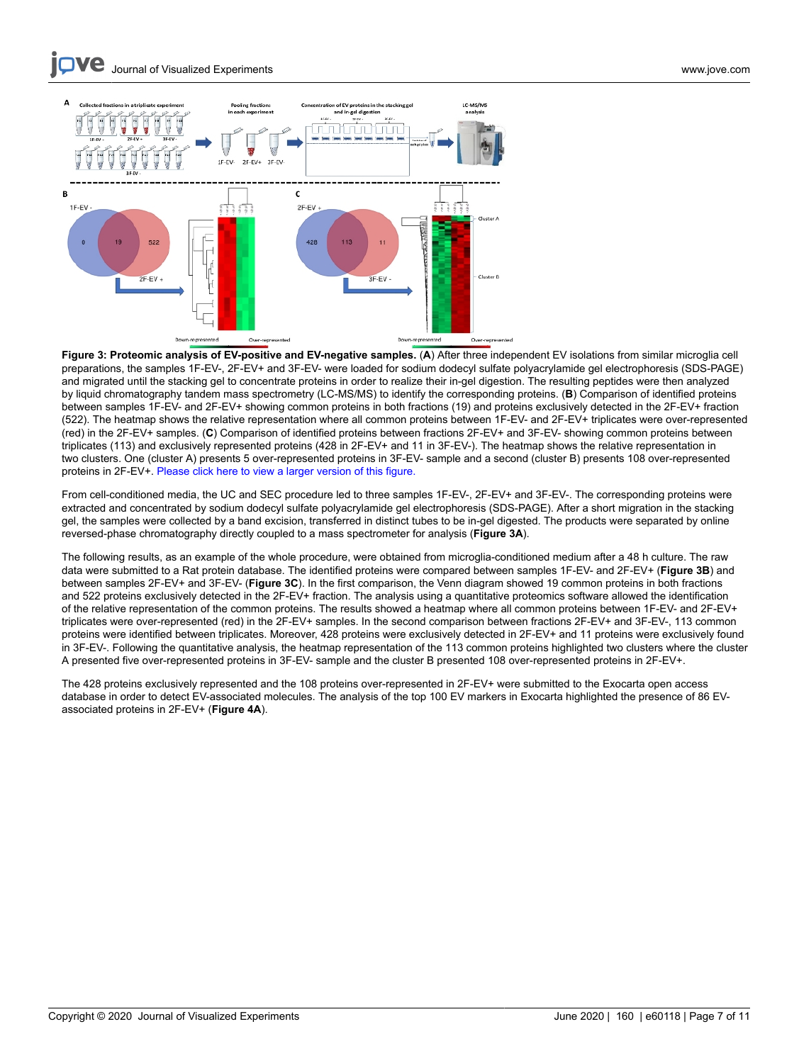

**Figure 3: Proteomic analysis of EV-positive and EV-negative samples.** (**A**) After three independent EV isolations from similar microglia cell preparations, the samples 1F-EV-, 2F-EV+ and 3F-EV- were loaded for sodium dodecyl sulfate polyacrylamide gel electrophoresis (SDS-PAGE) and migrated until the stacking gel to concentrate proteins in order to realize their in-gel digestion. The resulting peptides were then analyzed by liquid chromatography tandem mass spectrometry (LC-MS/MS) to identify the corresponding proteins. (**B**) Comparison of identified proteins between samples 1F-EV- and 2F-EV+ showing common proteins in both fractions (19) and proteins exclusively detected in the 2F-EV+ fraction (522). The heatmap shows the relative representation where all common proteins between 1F-EV- and 2F-EV+ triplicates were over-represented (red) in the 2F-EV+ samples. (**C**) Comparison of identified proteins between fractions 2F-EV+ and 3F-EV- showing common proteins between triplicates (113) and exclusively represented proteins (428 in 2F-EV+ and 11 in 3F-EV-). The heatmap shows the relative representation in two clusters. One (cluster A) presents 5 over-represented proteins in 3F-EV- sample and a second (cluster B) presents 108 over-represented proteins in 2F-EV+. [Please click here to view a larger version of this figure.](https://www.jove.com/files/ftp_upload/60118/60118fig03large.jpg)

From cell-conditioned media, the UC and SEC procedure led to three samples 1F-EV-, 2F-EV+ and 3F-EV-. The corresponding proteins were extracted and concentrated by sodium dodecyl sulfate polyacrylamide gel electrophoresis (SDS-PAGE). After a short migration in the stacking gel, the samples were collected by a band excision, transferred in distinct tubes to be in-gel digested. The products were separated by online reversed-phase chromatography directly coupled to a mass spectrometer for analysis (**Figure 3A**).

The following results, as an example of the whole procedure, were obtained from microglia-conditioned medium after a 48 h culture. The raw data were submitted to a Rat protein database. The identified proteins were compared between samples 1F-EV- and 2F-EV+ (**Figure 3B**) and between samples 2F-EV+ and 3F-EV- (**Figure 3C**). In the first comparison, the Venn diagram showed 19 common proteins in both fractions and 522 proteins exclusively detected in the 2F-EV+ fraction. The analysis using a quantitative proteomics software allowed the identification of the relative representation of the common proteins. The results showed a heatmap where all common proteins between 1F-EV- and 2F-EV+ triplicates were over-represented (red) in the 2F-EV+ samples. In the second comparison between fractions 2F-EV+ and 3F-EV-, 113 common proteins were identified between triplicates. Moreover, 428 proteins were exclusively detected in 2F-EV+ and 11 proteins were exclusively found in 3F-EV-. Following the quantitative analysis, the heatmap representation of the 113 common proteins highlighted two clusters where the cluster A presented five over-represented proteins in 3F-EV- sample and the cluster B presented 108 over-represented proteins in 2F-EV+.

The 428 proteins exclusively represented and the 108 proteins over-represented in 2F-EV+ were submitted to the Exocarta open access database in order to detect EV-associated molecules. The analysis of the top 100 EV markers in Exocarta highlighted the presence of 86 EVassociated proteins in 2F-EV+ (**Figure 4A**).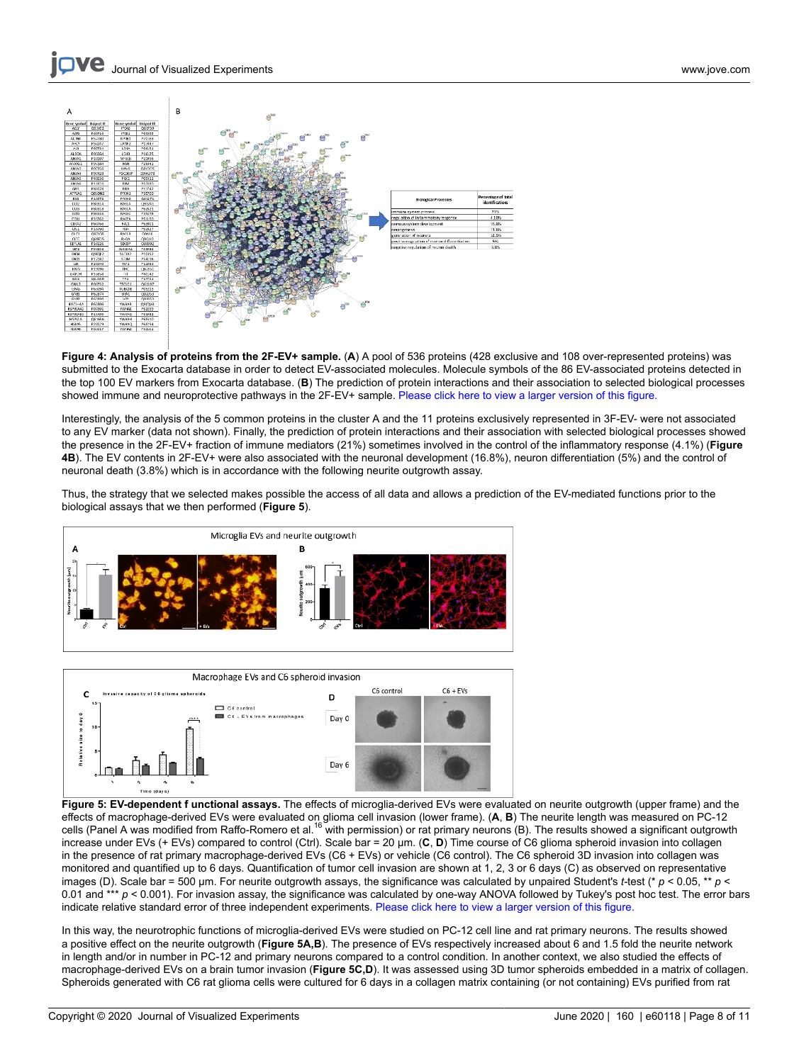

**Figure 4: Analysis of proteins from the 2F-EV+ sample.** (**A**) A pool of 536 proteins (428 exclusive and 108 over-represented proteins) was submitted to the Exocarta database in order to detect EV-associated molecules. Molecule symbols of the 86 EV-associated proteins detected in the top 100 EV markers from Exocarta database. (**B**) The prediction of protein interactions and their association to selected biological processes showed immune and neuroprotective pathways in the 2F-EV+ sample. [Please click here to view a larger version of this figure.](https://www.jove.com/files/ftp_upload/60118/60118fig04large.jpg)

Interestingly, the analysis of the 5 common proteins in the cluster A and the 11 proteins exclusively represented in 3F-EV- were not associated to any EV marker (data not shown). Finally, the prediction of protein interactions and their association with selected biological processes showed the presence in the 2F-EV+ fraction of immune mediators (21%) sometimes involved in the control of the inflammatory response (4.1%) (**Figure 4B**). The EV contents in 2F-EV+ were also associated with the neuronal development (16.8%), neuron differentiation (5%) and the control of neuronal death (3.8%) which is in accordance with the following neurite outgrowth assay.

Thus, the strategy that we selected makes possible the access of all data and allows a prediction of the EV-mediated functions prior to the biological assays that we then performed (**Figure 5**).





**Figure 5: EV-dependent f unctional assays.** The effects of microglia-derived EVs were evaluated on neurite outgrowth (upper frame) and the effects of macrophage-derived EVs were evaluated on glioma cell invasion (lower frame). (**A**, **B**) The neurite length was measured on PC-12 cells (Panel A was modified from Raffo-Romero et al.<sup>16</sup> with permission) or rat primary neurons (B). The results showed a significant outgrowth increase under EVs (+ EVs) compared to control (Ctrl). Scale bar = 20 µm. (**C**, **D**) Time course of C6 glioma spheroid invasion into collagen in the presence of rat primary macrophage-derived EVs (C6 + EVs) or vehicle (C6 control). The C6 spheroid 3D invasion into collagen was monitored and quantified up to 6 days. Quantification of tumor cell invasion are shown at 1, 2, 3 or 6 days (C) as observed on representative images (D). Scale bar = 500 µm. For neurite outgrowth assays, the significance was calculated by unpaired Student's *t*-test (\*  $p < 0.05$ , \*\*  $p <$ 0.01 and \*\*\*  $p$  < 0.001). For invasion assay, the significance was calculated by one-way ANOVA followed by Tukey's post hoc test. The error bars indicate relative standard error of three independent experiments. [Please click here to view a larger version of this figure.](https://www.jove.com/files/ftp_upload/60118/60118fig05large.jpg)

In this way, the neurotrophic functions of microglia-derived EVs were studied on PC-12 cell line and rat primary neurons. The results showed a positive effect on the neurite outgrowth (**Figure 5A,B**). The presence of EVs respectively increased about 6 and 1.5 fold the neurite network in length and/or in number in PC-12 and primary neurons compared to a control condition. In another context, we also studied the effects of macrophage-derived EVs on a brain tumor invasion (**Figure 5C,D**). It was assessed using 3D tumor spheroids embedded in a matrix of collagen. Spheroids generated with C6 rat glioma cells were cultured for 6 days in a collagen matrix containing (or not containing) EVs purified from rat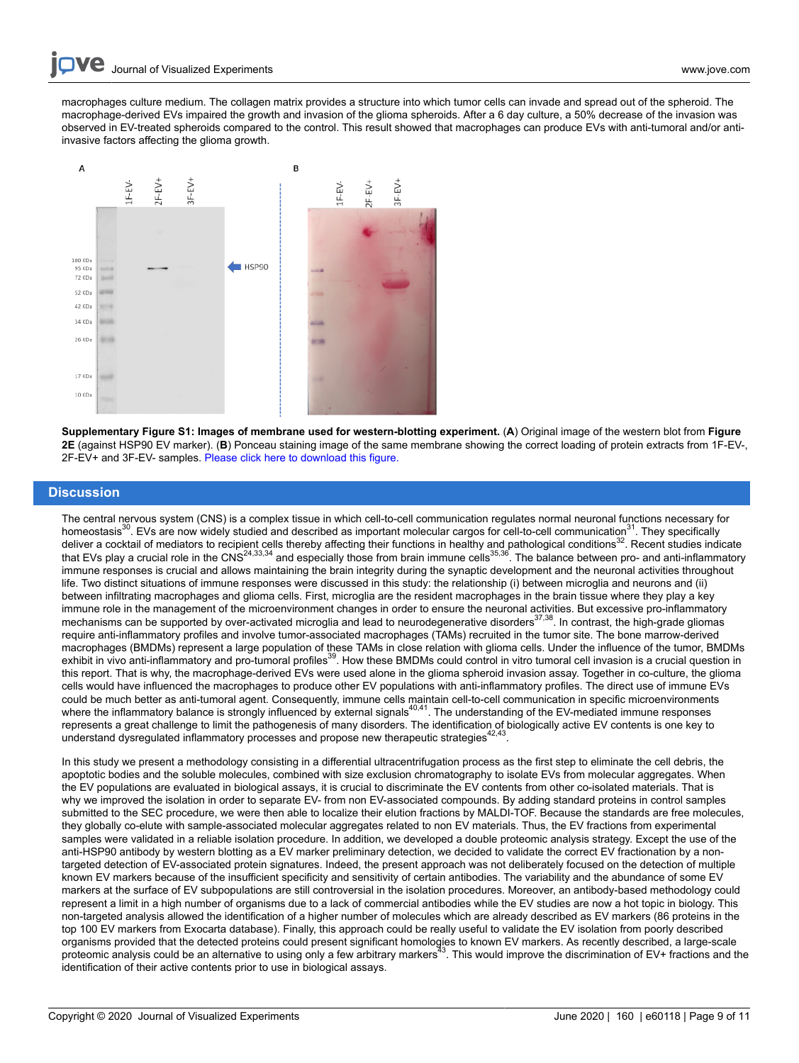macrophages culture medium. The collagen matrix provides a structure into which tumor cells can invade and spread out of the spheroid. The macrophage-derived EVs impaired the growth and invasion of the glioma spheroids. After a 6 day culture, a 50% decrease of the invasion was observed in EV-treated spheroids compared to the control. This result showed that macrophages can produce EVs with anti-tumoral and/or antiinvasive factors affecting the glioma growth.



**Supplementary Figure S1: Images of membrane used for western-blotting experiment.** (**A**) Original image of the western blot from **Figure 2E** (against HSP90 EV marker). (**B**) Ponceau staining image of the same membrane showing the correct loading of protein extracts from 1F-EV-, 2F-EV+ and 3F-EV- samples. [Please click here to download this figure.](https://cloudflare.jove.com/files/ftp_upload/60118/Supplementary_figure_S1.pdf)

#### **Discussion**

The central nervous system (CNS) is a complex tissue in which cell-to-cell communication regulates normal neuronal functions necessary for homeostasis<sup>30</sup>. EVs are now widely studied and described as important molecular cargos for cell-to-cell communication<sup>31</sup>. They specifically deliver a cocktail of mediators to recipient cells thereby affecting their functions in healthy and pathological conditions<sup>32</sup>. Recent studies indicate that EVs play a crucial role in the CNS<sup>24,33,34</sup> and especially those from brain immune cells<sup>35,36</sup>. The balance between pro- and anti-inflammatory immune responses is crucial and allows maintaining the brain integrity during the synaptic development and the neuronal activities throughout life. Two distinct situations of immune responses were discussed in this study: the relationship (i) between microglia and neurons and (ii) between infiltrating macrophages and glioma cells. First, microglia are the resident macrophages in the brain tissue where they play a key immune role in the management of the microenvironment changes in order to ensure the neuronal activities. But excessive pro-inflammatory mechanisms can be supported by over-activated microglia and lead to neurodegenerative disorders $37,38$ . In contrast, the high-grade gliomas require anti-inflammatory profiles and involve tumor-associated macrophages (TAMs) recruited in the tumor site. The bone marrow-derived macrophages (BMDMs) represent a large population of these TAMs in close relation with glioma cells. Under the influence of the tumor, BMDMs exhibit in vivo anti-inflammatory and pro-tumoral profiles<sup>39</sup>. How these BMDMs could control in vitro tumoral cell invasion is a crucial question in this report. That is why, the macrophage-derived EVs were used alone in the glioma spheroid invasion assay. Together in co-culture, the glioma cells would have influenced the macrophages to produce other EV populations with anti-inflammatory profiles. The direct use of immune EVs could be much better as anti-tumoral agent. Consequently, immune cells maintain cell-to-cell communication in specific microenvironments where the inflammatory balance is strongly influenced by external signals<sup>40,41</sup>. The understanding of the EV-mediated immune responses represents a great challenge to limit the pathogenesis of many disorders. The identification of biologically active EV contents is one key to understand dysregulated inflammatory processes and propose new therapeutic strategies<sup>4</sup> .

In this study we present a methodology consisting in a differential ultracentrifugation process as the first step to eliminate the cell debris, the apoptotic bodies and the soluble molecules, combined with size exclusion chromatography to isolate EVs from molecular aggregates. When the EV populations are evaluated in biological assays, it is crucial to discriminate the EV contents from other co-isolated materials. That is why we improved the isolation in order to separate EV- from non EV-associated compounds. By adding standard proteins in control samples submitted to the SEC procedure, we were then able to localize their elution fractions by MALDI-TOF. Because the standards are free molecules, they globally co-elute with sample-associated molecular aggregates related to non EV materials. Thus, the EV fractions from experimental samples were validated in a reliable isolation procedure. In addition, we developed a double proteomic analysis strategy. Except the use of the anti-HSP90 antibody by western blotting as a EV marker preliminary detection, we decided to validate the correct EV fractionation by a nontargeted detection of EV-associated protein signatures. Indeed, the present approach was not deliberately focused on the detection of multiple known EV markers because of the insufficient specificity and sensitivity of certain antibodies. The variability and the abundance of some EV markers at the surface of EV subpopulations are still controversial in the isolation procedures. Moreover, an antibody-based methodology could represent a limit in a high number of organisms due to a lack of commercial antibodies while the EV studies are now a hot topic in biology. This non-targeted analysis allowed the identification of a higher number of molecules which are already described as EV markers (86 proteins in the top 100 EV markers from Exocarta database). Finally, this approach could be really useful to validate the EV isolation from poorly described organisms provided that the detected proteins could present significant homologies to known EV markers. As recently described, a large-scale<br>proteomic analysis could be an alternative to using only a few arbitrary markers<sup></sup> identification of their active contents prior to use in biological assays.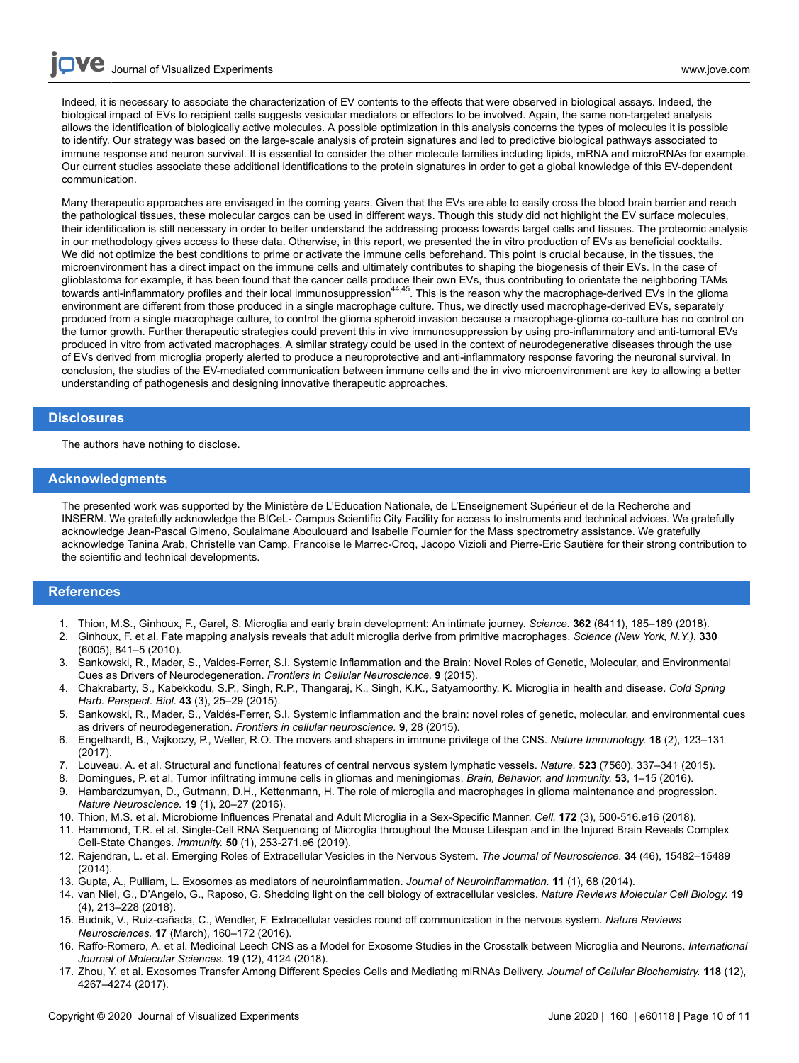Indeed, it is necessary to associate the characterization of EV contents to the effects that were observed in biological assays. Indeed, the biological impact of EVs to recipient cells suggests vesicular mediators or effectors to be involved. Again, the same non-targeted analysis allows the identification of biologically active molecules. A possible optimization in this analysis concerns the types of molecules it is possible to identify. Our strategy was based on the large-scale analysis of protein signatures and led to predictive biological pathways associated to immune response and neuron survival. It is essential to consider the other molecule families including lipids, mRNA and microRNAs for example. Our current studies associate these additional identifications to the protein signatures in order to get a global knowledge of this EV-dependent communication.

Many therapeutic approaches are envisaged in the coming years. Given that the EVs are able to easily cross the blood brain barrier and reach the pathological tissues, these molecular cargos can be used in different ways. Though this study did not highlight the EV surface molecules, their identification is still necessary in order to better understand the addressing process towards target cells and tissues. The proteomic analysis in our methodology gives access to these data. Otherwise, in this report, we presented the in vitro production of EVs as beneficial cocktails. We did not optimize the best conditions to prime or activate the immune cells beforehand. This point is crucial because, in the tissues, the microenvironment has a direct impact on the immune cells and ultimately contributes to shaping the biogenesis of their EVs. In the case of glioblastoma for example, it has been found that the cancer cells produce their own EVs, thus contributing to orientate the neighboring TAMs towards anti-inflammatory profiles and their local immunosuppression<sup>44,45</sup>. This is the reason why the macrophage-derived EVs in the glioma environment are different from those produced in a single macrophage culture. Thus, we directly used macrophage-derived EVs, separately produced from a single macrophage culture, to control the glioma spheroid invasion because a macrophage-glioma co-culture has no control on the tumor growth. Further therapeutic strategies could prevent this in vivo immunosuppression by using pro-inflammatory and anti-tumoral EVs produced in vitro from activated macrophages. A similar strategy could be used in the context of neurodegenerative diseases through the use of EVs derived from microglia properly alerted to produce a neuroprotective and anti-inflammatory response favoring the neuronal survival. In conclusion, the studies of the EV-mediated communication between immune cells and the in vivo microenvironment are key to allowing a better understanding of pathogenesis and designing innovative therapeutic approaches.

#### **Disclosures**

The authors have nothing to disclose.

#### **Acknowledgments**

The presented work was supported by the Ministère de L'Education Nationale, de L'Enseignement Supérieur et de la Recherche and INSERM. We gratefully acknowledge the BICeL- Campus Scientific City Facility for access to instruments and technical advices. We gratefully acknowledge Jean-Pascal Gimeno, Soulaimane Aboulouard and Isabelle Fournier for the Mass spectrometry assistance. We gratefully acknowledge Tanina Arab, Christelle van Camp, Francoise le Marrec-Croq, Jacopo Vizioli and Pierre-Eric Sautière for their strong contribution to the scientific and technical developments.

#### **References**

- 1. Thion, M.S., Ginhoux, F., Garel, S. Microglia and early brain development: An intimate journey. *Science.* **362** (6411), 185–189 (2018).
- 2. Ginhoux, F. et al. Fate mapping analysis reveals that adult microglia derive from primitive macrophages. *Science (New York, N.Y.).* **330** (6005), 841–5 (2010).
- 3. Sankowski, R., Mader, S., Valdes-Ferrer, S.I. Systemic Inflammation and the Brain: Novel Roles of Genetic, Molecular, and Environmental Cues as Drivers of Neurodegeneration. *Frontiers in Cellular Neuroscience.* **9** (2015).
- 4. Chakrabarty, S., Kabekkodu, S.P., Singh, R.P., Thangaraj, K., Singh, K.K., Satyamoorthy, K. Microglia in health and disease. *Cold Spring Harb. Perspect. Biol.* **43** (3), 25–29 (2015).
- 5. Sankowski, R., Mader, S., Valdés-Ferrer, S.I. Systemic inflammation and the brain: novel roles of genetic, molecular, and environmental cues as drivers of neurodegeneration. *Frontiers in cellular neuroscience.* **9**, 28 (2015).
- 6. Engelhardt, B., Vajkoczy, P., Weller, R.O. The movers and shapers in immune privilege of the CNS. *Nature Immunology.* **18** (2), 123–131 (2017).
- 7. Louveau, A. et al. Structural and functional features of central nervous system lymphatic vessels. *Nature.* **523** (7560), 337–341 (2015).
- 8. Domingues, P. et al. Tumor infiltrating immune cells in gliomas and meningiomas. *Brain, Behavior, and Immunity.* **53**, 1–15 (2016).
- 9. Hambardzumyan, D., Gutmann, D.H., Kettenmann, H. The role of microglia and macrophages in glioma maintenance and progression. *Nature Neuroscience.* **19** (1), 20–27 (2016).
- 10. Thion, M.S. et al. Microbiome Influences Prenatal and Adult Microglia in a Sex-Specific Manner. *Cell.* **172** (3), 500-516.e16 (2018).
- 11. Hammond, T.R. et al. Single-Cell RNA Sequencing of Microglia throughout the Mouse Lifespan and in the Injured Brain Reveals Complex Cell-State Changes. *Immunity.* **50** (1), 253-271.e6 (2019).
- 12. Rajendran, L. et al. Emerging Roles of Extracellular Vesicles in the Nervous System. *The Journal of Neuroscience.* **34** (46), 15482–15489 (2014).
- 13. Gupta, A., Pulliam, L. Exosomes as mediators of neuroinflammation. *Journal of Neuroinflammation.* **11** (1), 68 (2014).
- 14. van Niel, G., D'Angelo, G., Raposo, G. Shedding light on the cell biology of extracellular vesicles. *Nature Reviews Molecular Cell Biology.* **19** (4), 213–228 (2018).
- 15. Budnik, V., Ruiz-cañada, C., Wendler, F. Extracellular vesicles round off communication in the nervous system. *Nature Reviews Neurosciences.* **17** (March), 160–172 (2016).
- 16. Raffo-Romero, A. et al. Medicinal Leech CNS as a Model for Exosome Studies in the Crosstalk between Microglia and Neurons. *International Journal of Molecular Sciences.* **19** (12), 4124 (2018).
- 17. Zhou, Y. et al. Exosomes Transfer Among Different Species Cells and Mediating miRNAs Delivery. *Journal of Cellular Biochemistry.* **118** (12), 4267–4274 (2017).